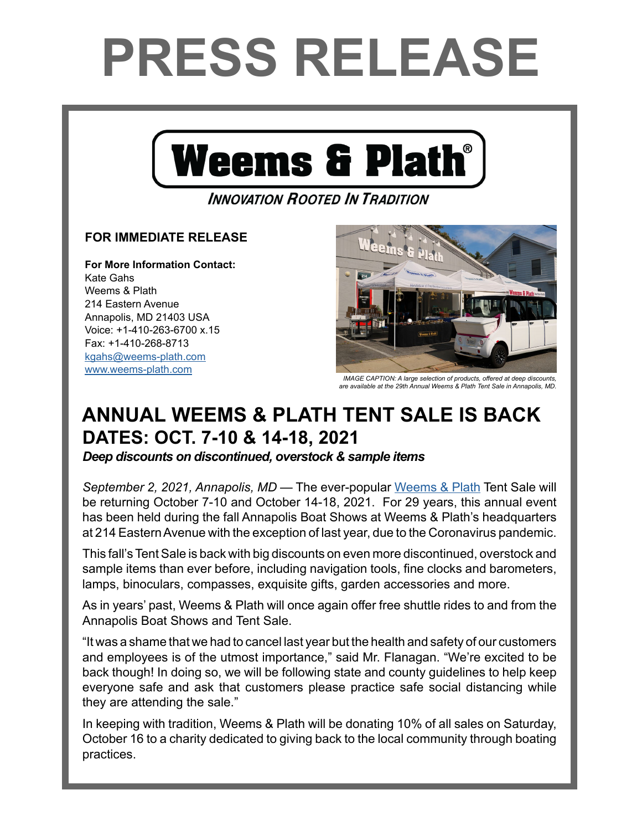## **PRESS RELEASE**



## **INNOVATION ROOTED IN TRADITION**

## **FOR IMMEDIATE RELEASE**

**For More Information Contact:**  Kate Gahs Weems & Plath 214 Eastern Avenue Annapolis, MD 21403 USA Voice: +1-410-263-6700 x.15 Fax: +1-410-268-8713 kgahs[@weems-plath.com](mailto:kgahs%40weems-plath.com?subject=Regarding%20Press%20Release) [www.weems-plath.com](http://www.weems-plath.com)



*IMAGE CAPTION: A large selection of products, offered at deep discounts, are available at the 29th Annual Weems & Plath Tent Sale in Annapolis, MD.*

## **ANNUAL WEEMS & PLATH TENT SALE IS BACK DATES: OCT. 7-10 & 14-18, 2021**

*Deep discounts on discontinued, overstock & sample items*

*September 2, 2021, Annapolis, MD* — The ever-popular [Weems & Plath](http://www.weems-plath.com/) Tent Sale will be returning October 7-10 and October 14-18, 2021. For 29 years, this annual event has been held during the fall Annapolis Boat Shows at Weems & Plath's headquarters at 214 Eastern Avenue with the exception of last year, due to the Coronavirus pandemic.

This fall's Tent Sale is back with big discounts on even more discontinued, overstock and sample items than ever before, including navigation tools, fine clocks and barometers, lamps, binoculars, compasses, exquisite gifts, garden accessories and more.

As in years' past, Weems & Plath will once again offer free shuttle rides to and from the Annapolis Boat Shows and Tent Sale.

"It was a shame that we had to cancel last year but the health and safety of our customers and employees is of the utmost importance," said Mr. Flanagan. "We're excited to be back though! In doing so, we will be following state and county guidelines to help keep everyone safe and ask that customers please practice safe social distancing while they are attending the sale."

In keeping with tradition, Weems & Plath will be donating 10% of all sales on Saturday, October 16 to a charity dedicated to giving back to the local community through boating practices.